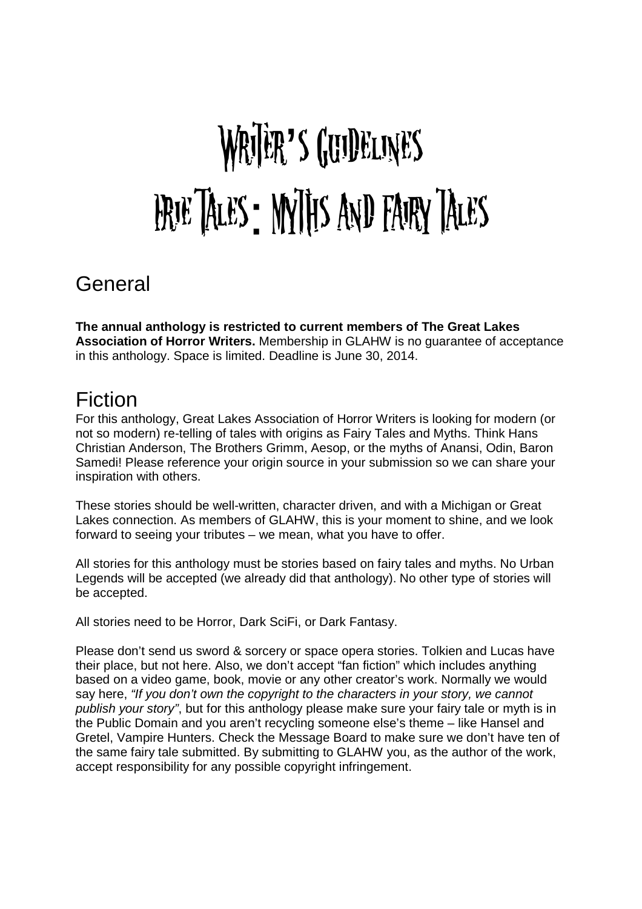# WRIER'S GUIDELINES Erie Tales: Myths and Fairy tales

### General

**The annual anthology is restricted to current members of The Great Lakes Association of Horror Writers.** Membership in GLAHW is no guarantee of acceptance in this anthology. Space is limited. Deadline is June 30, 2014.

#### Fiction

For this anthology, Great Lakes Association of Horror Writers is looking for modern (or not so modern) re-telling of tales with origins as Fairy Tales and Myths. Think Hans Christian Anderson, The Brothers Grimm, Aesop, or the myths of Anansi, Odin, Baron Samedi! Please reference your origin source in your submission so we can share your inspiration with others.

These stories should be well-written, character driven, and with a Michigan or Great Lakes connection. As members of GLAHW, this is your moment to shine, and we look forward to seeing your tributes – we mean, what you have to offer.

All stories for this anthology must be stories based on fairy tales and myths. No Urban Legends will be accepted (we already did that anthology). No other type of stories will be accepted.

All stories need to be Horror, Dark SciFi, or Dark Fantasy.

Please don't send us sword & sorcery or space opera stories. Tolkien and Lucas have their place, but not here. Also, we don't accept "fan fiction" which includes anything based on a video game, book, movie or any other creator's work. Normally we would say here, "If you don't own the copyright to the characters in your story, we cannot publish your story", but for this anthology please make sure your fairy tale or myth is in the Public Domain and you aren't recycling someone else's theme – like Hansel and Gretel, Vampire Hunters. Check the Message Board to make sure we don't have ten of the same fairy tale submitted. By submitting to GLAHW you, as the author of the work, accept responsibility for any possible copyright infringement.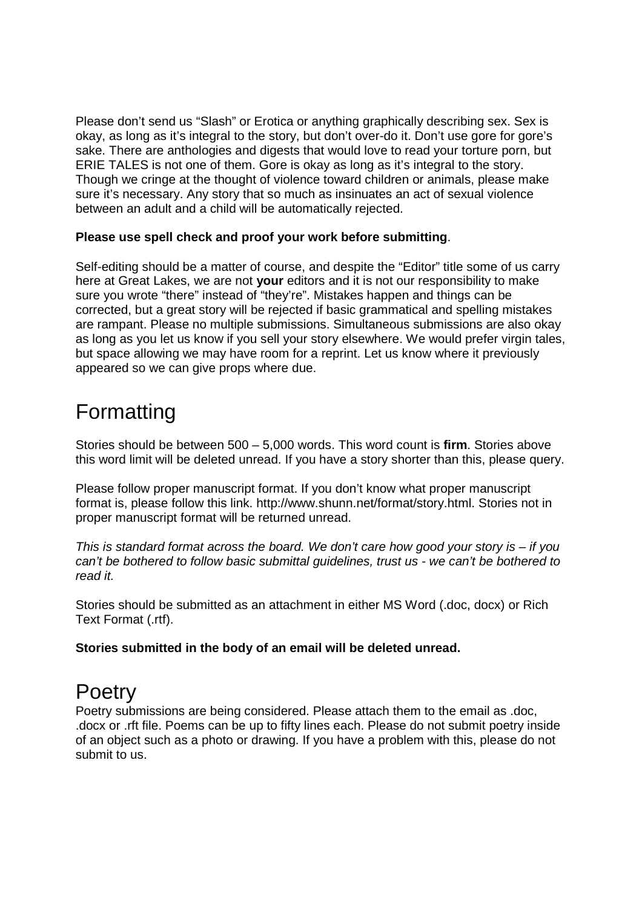Please don't send us "Slash" or Erotica or anything graphically describing sex. Sex is okay, as long as it's integral to the story, but don't over-do it. Don't use gore for gore's sake. There are anthologies and digests that would love to read your torture porn, but ERIE TALES is not one of them. Gore is okay as long as it's integral to the story. Though we cringe at the thought of violence toward children or animals, please make sure it's necessary. Any story that so much as insinuates an act of sexual violence between an adult and a child will be automatically rejected.

#### **Please use spell check and proof your work before submitting**.

Self-editing should be a matter of course, and despite the "Editor" title some of us carry here at Great Lakes, we are not **your** editors and it is not our responsibility to make sure you wrote "there" instead of "they're". Mistakes happen and things can be corrected, but a great story will be rejected if basic grammatical and spelling mistakes are rampant. Please no multiple submissions. Simultaneous submissions are also okay as long as you let us know if you sell your story elsewhere. We would prefer virgin tales, but space allowing we may have room for a reprint. Let us know where it previously appeared so we can give props where due.

# Formatting

Stories should be between 500 – 5,000 words. This word count is **firm**. Stories above this word limit will be deleted unread. If you have a story shorter than this, please query.

Please follow proper manuscript format. If you don't know what proper manuscript format is, please follow this link. http://www.shunn.net/format/story.html. Stories not in proper manuscript format will be returned unread.

This is standard format across the board. We don't care how good your story is  $-$  if you can't be bothered to follow basic submittal guidelines, trust us - we can't be bothered to read it.

Stories should be submitted as an attachment in either MS Word (.doc, docx) or Rich Text Format (.rtf).

**Stories submitted in the body of an email will be deleted unread.** 

### **Poetry**

Poetry submissions are being considered. Please attach them to the email as .doc, .docx or .rft file. Poems can be up to fifty lines each. Please do not submit poetry inside of an object such as a photo or drawing. If you have a problem with this, please do not submit to us.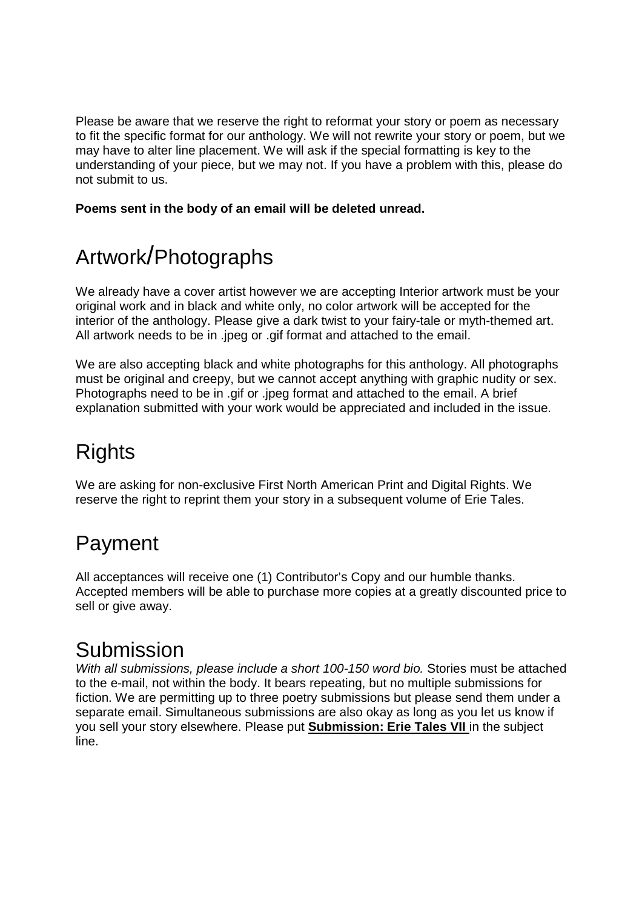Please be aware that we reserve the right to reformat your story or poem as necessary to fit the specific format for our anthology. We will not rewrite your story or poem, but we may have to alter line placement. We will ask if the special formatting is key to the understanding of your piece, but we may not. If you have a problem with this, please do not submit to us.

**Poems sent in the body of an email will be deleted unread.** 

# Artwork/Photographs

We already have a cover artist however we are accepting Interior artwork must be your original work and in black and white only, no color artwork will be accepted for the interior of the anthology. Please give a dark twist to your fairy-tale or myth-themed art. All artwork needs to be in .jpeg or .gif format and attached to the email.

We are also accepting black and white photographs for this anthology. All photographs must be original and creepy, but we cannot accept anything with graphic nudity or sex. Photographs need to be in .gif or .jpeg format and attached to the email. A brief explanation submitted with your work would be appreciated and included in the issue.

# **Rights**

We are asking for non-exclusive First North American Print and Digital Rights. We reserve the right to reprint them your story in a subsequent volume of Erie Tales.

# Payment

All acceptances will receive one (1) Contributor's Copy and our humble thanks. Accepted members will be able to purchase more copies at a greatly discounted price to sell or give away.

## Submission

With all submissions, please include a short 100-150 word bio. Stories must be attached to the e-mail, not within the body. It bears repeating, but no multiple submissions for fiction. We are permitting up to three poetry submissions but please send them under a separate email. Simultaneous submissions are also okay as long as you let us know if you sell your story elsewhere. Please put **Submission: Erie Tales VII** in the subject line.